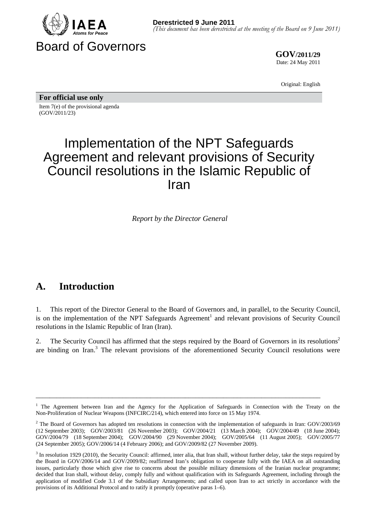

**GOV/2011/29** Date: 24 May 2011

Original: English

**For official use only**  Item 7(e) of the provisional agenda (GOV/2011/23)

# Implementation of the NPT Safeguards Agreement and relevant provisions of Security Council resolutions in the Islamic Republic of Iran

*Report by the Director General* 

## **A. Introduction**

1. This report of the Director General to the Board of Governors and, in parallel, to the Security Council, is on the implementation of the NPT Safeguards Agreement<sup>1</sup> and relevant provisions of Security Council resolutions in the Islamic Republic of Iran (Iran).

2. The Security Council has affirmed that the steps required by the Board of Governors in its resolutions<sup>2</sup> are binding on Iran.<sup>3</sup> The relevant provisions of the aforementioned Security Council resolutions were

<sup>&</sup>lt;sup>1</sup> The Agreement between Iran and the Agency for the Application of Safeguards in Connection with the Treaty on the Non-Proliferation of Nuclear Weapons (INFCIRC/214), which entered into force on 15 May 1974.

<sup>&</sup>lt;sup>2</sup> The Board of Governors has adopted ten resolutions in connection with the implementation of safeguards in Iran: GOV/2003/69 (12 September 2003); GOV/2003/81 (26 November 2003); GOV/2004/21 (13 March 2004); GOV/2004/49 (18 June 2004); GOV/2004/79 (18 September 2004); GOV/2004/90 (29 November 2004); GOV/2005/64 (11 August 2005); GOV/2005/77 (24 September 2005); GOV/2006/14 (4 February 2006); and GOV/2009/82 (27 November 2009).

 $3$  In resolution 1929 (2010), the Security Council: affirmed, inter alia, that Iran shall, without further delay, take the steps required by the Board in GOV/2006/14 and GOV/2009/82; reaffirmed Iran's obligation to cooperate fully with the IAEA on all outstanding issues, particularly those which give rise to concerns about the possible military dimensions of the Iranian nuclear programme; decided that Iran shall, without delay, comply fully and without qualification with its Safeguards Agreement, including through the application of modified Code 3.1 of the Subsidiary Arrangements; and called upon Iran to act strictly in accordance with the provisions of its Additional Protocol and to ratify it promptly (operative paras 1–6).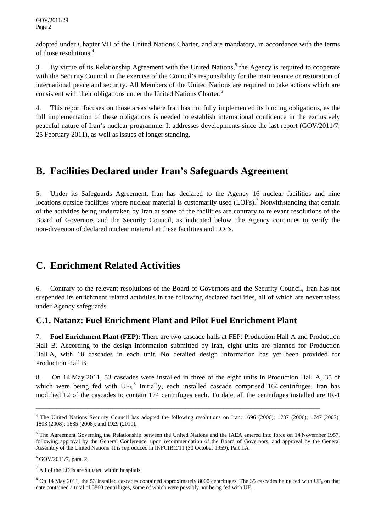adopted under Chapter VII of the United Nations Charter, and are mandatory, in accordance with the terms of those resolutions.<sup>4</sup>

3. By virtue of its Relationship Agreement with the United Nations,<sup>5</sup> the Agency is required to cooperate with the Security Council in the exercise of the Council's responsibility for the maintenance or restoration of international peace and security. All Members of the United Nations are required to take actions which are consistent with their obligations under the United Nations Charter.<sup>6</sup>

4. This report focuses on those areas where Iran has not fully implemented its binding obligations, as the full implementation of these obligations is needed to establish international confidence in the exclusively peaceful nature of Iran's nuclear programme. It addresses developments since the last report (GOV/2011/7, 25 February 2011), as well as issues of longer standing.

## **B. Facilities Declared under Iran's Safeguards Agreement**

5. Under its Safeguards Agreement, Iran has declared to the Agency 16 nuclear facilities and nine locations outside facilities where nuclear material is customarily used  $(LOFs)$ .<sup>7</sup> Notwithstanding that certain of the activities being undertaken by Iran at some of the facilities are contrary to relevant resolutions of the Board of Governors and the Security Council, as indicated below, the Agency continues to verify the non-diversion of declared nuclear material at these facilities and LOFs.

## **C. Enrichment Related Activities**

6. Contrary to the relevant resolutions of the Board of Governors and the Security Council, Iran has not suspended its enrichment related activities in the following declared facilities, all of which are nevertheless under Agency safeguards.

#### **C.1. Natanz: Fuel Enrichment Plant and Pilot Fuel Enrichment Plant**

7. **Fuel Enrichment Plant (FEP):** There are two cascade halls at FEP: Production Hall A and Production Hall B. According to the design information submitted by Iran, eight units are planned for Production Hall A, with 18 cascades in each unit. No detailed design information has yet been provided for Production Hall B.

8. On 14 May 2011, 53 cascades were installed in three of the eight units in Production Hall A, 35 of which were being fed with UF<sub>6</sub>.<sup>8</sup> Initially, each installed cascade comprised 164 centrifuges. Iran has modified 12 of the cascades to contain 174 centrifuges each. To date, all the centrifuges installed are IR-1

<sup>&</sup>lt;sup>4</sup> The United Nations Security Council has adopted the following resolutions on Iran: 1696 (2006); 1737 (2006); 1747 (2007); 1803 (2008); 1835 (2008); and 1929 (2010).

 $<sup>5</sup>$  The Agreement Governing the Relationship between the United Nations and the IAEA entered into force on 14 November 1957,</sup> following approval by the General Conference, upon recommendation of the Board of Governors, and approval by the General Assembly of the United Nations. It is reproduced in INFCIRC/11 (30 October 1959), Part I.A.

<sup>6</sup> GOV/2011/7, para. 2.

 $<sup>7</sup>$  All of the LOFs are situated within hospitals.</sup>

 $8$  On 14 May 2011, the 53 installed cascades contained approximately 8000 centrifuges. The 35 cascades being fed with UF<sub>6</sub> on that date contained a total of 5860 centrifuges, some of which were possibly not being fed with UF<sub>6</sub>.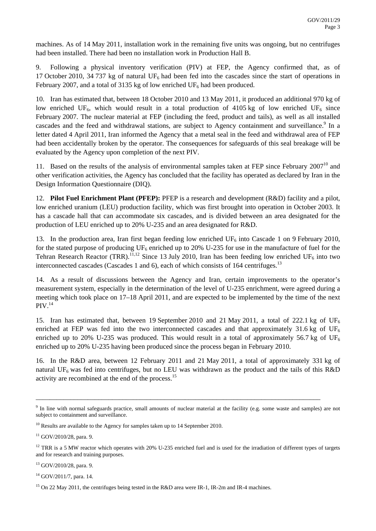machines. As of 14 May 2011, installation work in the remaining five units was ongoing, but no centrifuges had been installed. There had been no installation work in Production Hall B.

9. Following a physical inventory verification (PIV) at FEP, the Agency confirmed that, as of 17 October 2010, 34 737 kg of natural  $UF_6$  had been fed into the cascades since the start of operations in February 2007, and a total of 3135 kg of low enriched  $UF_6$  had been produced.

10. Iran has estimated that, between 18 October 2010 and 13 May 2011, it produced an additional 970 kg of low enriched UF<sub>6</sub>, which would result in a total production of 4105 kg of low enriched UF<sub>6</sub> since February 2007. The nuclear material at FEP (including the feed, product and tails), as well as all installed cascades and the feed and withdrawal stations, are subject to Agency containment and surveillance.<sup>9</sup> In a letter dated 4 April 2011, Iran informed the Agency that a metal seal in the feed and withdrawal area of FEP had been accidentally broken by the operator. The consequences for safeguards of this seal breakage will be evaluated by the Agency upon completion of the next PIV.

11. Based on the results of the analysis of environmental samples taken at FEP since February  $2007^{10}$  and other verification activities, the Agency has concluded that the facility has operated as declared by Iran in the Design Information Questionnaire (DIQ).

12. **Pilot Fuel Enrichment Plant (PFEP):** PFEP is a research and development (R&D) facility and a pilot, low enriched uranium (LEU) production facility, which was first brought into operation in October 2003. It has a cascade hall that can accommodate six cascades, and is divided between an area designated for the production of LEU enriched up to 20% U-235 and an area designated for R&D.

13. In the production area, Iran first began feeding low enriched  $UF_6$  into Cascade 1 on 9 February 2010, for the stated purpose of producing  $UF_6$  enriched up to 20% U-235 for use in the manufacture of fuel for the Tehran Research Reactor (TRR).<sup>11,12</sup> Since 13 July 2010, Iran has been feeding low enriched UF<sub>6</sub> into two interconnected cascades (Cascades 1 and 6), each of which consists of 164 centrifuges.<sup>13</sup>

14. As a result of discussions between the Agency and Iran, certain improvements to the operator's measurement system, especially in the determination of the level of U-235 enrichment, were agreed during a meeting which took place on 17–18 April 2011, and are expected to be implemented by the time of the next  $PIV.<sup>14</sup>$ 

15. Iran has estimated that, between 19 September 2010 and 21 May 2011, a total of 222.1 kg of UF<sub>6</sub> enriched at FEP was fed into the two interconnected cascades and that approximately 31.6 kg of UF<sub>6</sub> enriched up to 20% U-235 was produced. This would result in a total of approximately 56.7 kg of UF<sub>6</sub> enriched up to 20% U-235 having been produced since the process began in February 2010.

16. In the R&D area, between 12 February 2011 and 21 May 2011, a total of approximately 331 kg of natural UF<sub>6</sub> was fed into centrifuges, but no LEU was withdrawn as the product and the tails of this R&D activity are recombined at the end of the process.<sup>15</sup>

\_\_\_\_\_\_\_\_\_\_\_\_\_\_\_\_\_\_\_\_\_\_\_\_\_\_\_\_\_\_\_\_\_\_\_\_\_\_\_\_\_\_\_\_\_\_\_\_\_\_\_\_\_\_\_\_\_\_\_\_\_\_\_\_\_\_\_\_\_\_\_\_\_\_\_\_\_\_\_\_\_\_

 $14$  GOV/2011/7, para. 14.

<sup>&</sup>lt;sup>9</sup> In line with normal safeguards practice, small amounts of nuclear material at the facility (e.g. some waste and samples) are not subject to containment and surveillance.

 $10$  Results are available to the Agency for samples taken up to 14 September 2010.

 $11$  GOV/2010/28, para. 9.

 $12$  TRR is a 5 MW reactor which operates with 20% U-235 enriched fuel and is used for the irradiation of different types of targets and for research and training purposes.

<sup>13</sup> GOV/2010/28, para. 9.

<sup>&</sup>lt;sup>15</sup> On 22 May 2011, the centrifuges being tested in the R&D area were IR-1, IR-2m and IR-4 machines.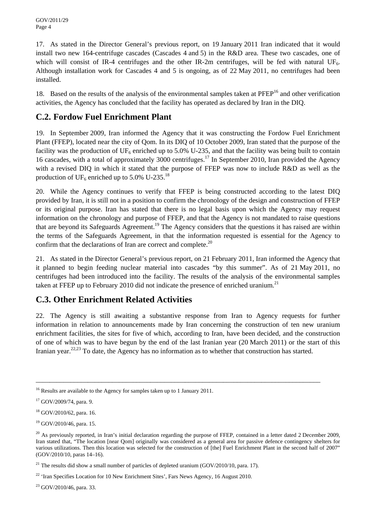17. As stated in the Director General's previous report, on 19 January 2011 Iran indicated that it would install two new 164-centrifuge cascades (Cascades 4 and 5) in the R&D area. These two cascades, one of which will consist of IR-4 centrifuges and the other IR-2m centrifuges, will be fed with natural UF<sub>6</sub>. Although installation work for Cascades 4 and 5 is ongoing, as of 22 May 2011, no centrifuges had been installed.

18. Based on the results of the analysis of the environmental samples taken at PFEP<sup>16</sup> and other verification activities, the Agency has concluded that the facility has operated as declared by Iran in the DIQ.

#### **C.2. Fordow Fuel Enrichment Plant**

19. In September 2009, Iran informed the Agency that it was constructing the Fordow Fuel Enrichment Plant (FFEP), located near the city of Qom. In its DIQ of 10 October 2009, Iran stated that the purpose of the facility was the production of  $UF_6$  enriched up to 5.0% U-235, and that the facility was being built to contain 16 cascades, with a total of approximately 3000 centrifuges.<sup>17</sup> In September 2010, Iran provided the Agency with a revised DIQ in which it stated that the purpose of FFEP was now to include R&D as well as the production of UF<sub>6</sub> enriched up to 5.0% U-235.<sup>18</sup>

20. While the Agency continues to verify that FFEP is being constructed according to the latest DIQ provided by Iran, it is still not in a position to confirm the chronology of the design and construction of FFEP or its original purpose. Iran has stated that there is no legal basis upon which the Agency may request information on the chronology and purpose of FFEP, and that the Agency is not mandated to raise questions that are beyond its Safeguards Agreement.<sup>19</sup> The Agency considers that the questions it has raised are within the terms of the Safeguards Agreement, in that the information requested is essential for the Agency to confirm that the declarations of Iran are correct and complete.<sup>20</sup>

21. As stated in the Director General's previous report, on 21 February 2011, Iran informed the Agency that it planned to begin feeding nuclear material into cascades "by this summer". As of 21 May 2011, no centrifuges had been introduced into the facility. The results of the analysis of the environmental samples taken at FFEP up to February 2010 did not indicate the presence of enriched uranium.<sup>21</sup>

#### **C.3. Other Enrichment Related Activities**

22. The Agency is still awaiting a substantive response from Iran to Agency requests for further information in relation to announcements made by Iran concerning the construction of ten new uranium enrichment facilities, the sites for five of which, according to Iran, have been decided, and the construction of one of which was to have begun by the end of the last Iranian year (20 March 2011) or the start of this Iranian year.<sup>22,23</sup> To date, the Agency has no information as to whether that construction has started.

\_\_\_\_\_\_\_\_\_\_\_\_\_\_\_\_\_\_\_\_\_\_\_\_\_\_\_\_\_\_\_\_\_\_\_\_\_\_\_\_\_\_\_\_\_\_\_\_\_\_\_\_\_\_\_\_\_\_\_\_\_\_\_\_\_\_\_\_\_\_\_\_\_\_\_\_\_\_\_\_\_\_

23 GOV/2010/46, para. 33.

<sup>&</sup>lt;sup>16</sup> Results are available to the Agency for samples taken up to 1 January 2011.

<sup>&</sup>lt;sup>17</sup> GOV/2009/74, para. 9.

 $18$  GOV/2010/62, para. 16.

<sup>19</sup> GOV/2010/46, para. 15.

 $20$  As previously reported, in Iran's initial declaration regarding the purpose of FFEP, contained in a letter dated 2 December 2009, Iran stated that, "The location [near Qom] originally was considered as a general area for passive defence contingency shelters for various utilizations. Then this location was selected for the construction of [the] Fuel Enrichment Plant in the second half of 2007" (GOV/2010/10, paras 14–16).

<sup>&</sup>lt;sup>21</sup> The results did show a small number of particles of depleted uranium (GOV/2010/10, para. 17).

 $22$  'Iran Specifies Location for 10 New Enrichment Sites', Fars News Agency, 16 August 2010.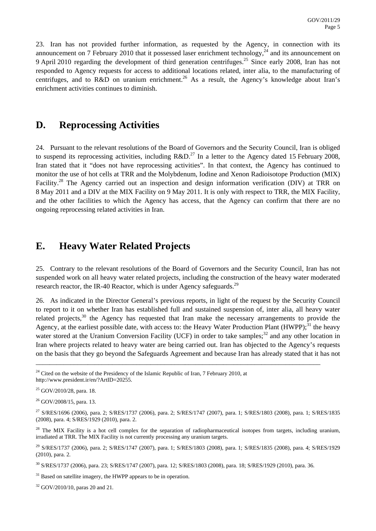23. Iran has not provided further information, as requested by the Agency, in connection with its announcement on 7 February 2010 that it possessed laser enrichment technology, $^{24}$  and its announcement on 9 April 2010 regarding the development of third generation centrifuges.25 Since early 2008, Iran has not responded to Agency requests for access to additional locations related, inter alia, to the manufacturing of centrifuges, and to R&D on uranium enrichment.<sup>26</sup> As a result, the Agency's knowledge about Iran's enrichment activities continues to diminish.

### **D. Reprocessing Activities**

24. Pursuant to the relevant resolutions of the Board of Governors and the Security Council, Iran is obliged to suspend its reprocessing activities, including  $R&D<sup>27</sup>$  In a letter to the Agency dated 15 February 2008, Iran stated that it "does not have reprocessing activities". In that context, the Agency has continued to monitor the use of hot cells at TRR and the Molybdenum, Iodine and Xenon Radioisotope Production (MIX) Facility.<sup>28</sup> The Agency carried out an inspection and design information verification (DIV) at TRR on 8 May 2011 and a DIV at the MIX Facility on 9 May 2011. It is only with respect to TRR, the MIX Facility, and the other facilities to which the Agency has access, that the Agency can confirm that there are no ongoing reprocessing related activities in Iran.

### **E. Heavy Water Related Projects**

25. Contrary to the relevant resolutions of the Board of Governors and the Security Council, Iran has not suspended work on all heavy water related projects, including the construction of the heavy water moderated research reactor, the IR-40 Reactor, which is under Agency safeguards.<sup>29</sup>

26. As indicated in the Director General's previous reports, in light of the request by the Security Council to report to it on whether Iran has established full and sustained suspension of, inter alia, all heavy water related projects,<sup>30</sup> the Agency has requested that Iran make the necessary arrangements to provide the Agency, at the earliest possible date, with access to: the Heavy Water Production Plant (HWPP);<sup>31</sup> the heavy water stored at the Uranium Conversion Facility (UCF) in order to take samples;<sup>32</sup> and any other location in Iran where projects related to heavy water are being carried out. Iran has objected to the Agency's requests on the basis that they go beyond the Safeguards Agreement and because Iran has already stated that it has not

<sup>&</sup>lt;sup>24</sup> Cited on the website of the Presidency of the Islamic Republic of Iran, 7 February 2010, at http://www.president.ir/en/?ArtID=20255.

 $25$  GOV/2010/28, para. 18.

 $26$  GOV/2008/15, para. 13.

<sup>27</sup> S/RES/1696 (2006), para. 2; S/RES/1737 (2006), para. 2; S/RES/1747 (2007), para. 1; S/RES/1803 (2008), para. 1; S/RES/1835 (2008), para. 4; S/RES/1929 (2010), para. 2.

 $^{28}$  The MIX Facility is a hot cell complex for the separation of radiopharmaceutical isotopes from targets, including uranium, irradiated at TRR. The MIX Facility is not currently processing any uranium targets.

<sup>29</sup> S/RES/1737 (2006), para. 2; S/RES/1747 (2007), para. 1; S/RES/1803 (2008), para. 1; S/RES/1835 (2008), para. 4; S/RES/1929 (2010), para. 2.

<sup>30</sup> S/RES/1737 (2006), para. 23; S/RES/1747 (2007), para. 12; S/RES/1803 (2008), para. 18; S/RES/1929 (2010), para. 36.

 $31$  Based on satellite imagery, the HWPP appears to be in operation.

<sup>32</sup> GOV/2010/10, paras 20 and 21.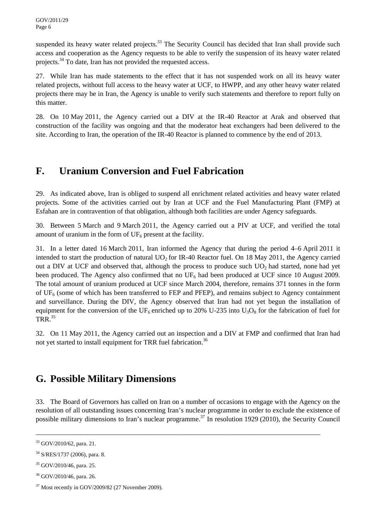suspended its heavy water related projects.<sup>33</sup> The Security Council has decided that Iran shall provide such access and cooperation as the Agency requests to be able to verify the suspension of its heavy water related projects.<sup>34</sup> To date, Iran has not provided the requested access.

27. While Iran has made statements to the effect that it has not suspended work on all its heavy water related projects, without full access to the heavy water at UCF, to HWPP, and any other heavy water related projects there may be in Iran, the Agency is unable to verify such statements and therefore to report fully on this matter.

28. On 10 May 2011, the Agency carried out a DIV at the IR-40 Reactor at Arak and observed that construction of the facility was ongoing and that the moderator heat exchangers had been delivered to the site. According to Iran, the operation of the IR-40 Reactor is planned to commence by the end of 2013.

## **F. Uranium Conversion and Fuel Fabrication**

29. As indicated above, Iran is obliged to suspend all enrichment related activities and heavy water related projects. Some of the activities carried out by Iran at UCF and the Fuel Manufacturing Plant (FMP) at Esfahan are in contravention of that obligation, although both facilities are under Agency safeguards.

30. Between 5 March and 9 March 2011, the Agency carried out a PIV at UCF, and verified the total amount of uranium in the form of  $UF_6$  present at the facility.

31. In a letter dated 16 March 2011, Iran informed the Agency that during the period 4–6 April 2011 it intended to start the production of natural UO<sub>2</sub> for IR-40 Reactor fuel. On 18 May 2011, the Agency carried out a DIV at UCF and observed that, although the process to produce such  $UO<sub>2</sub>$  had started, none had yet been produced. The Agency also confirmed that no  $UF_6$  had been produced at UCF since 10 August 2009. The total amount of uranium produced at UCF since March 2004, therefore, remains 371 tonnes in the form of  $UF_6$  (some of which has been transferred to FEP and PFEP), and remains subject to Agency containment and surveillance. During the DIV, the Agency observed that Iran had not yet begun the installation of equipment for the conversion of the UF<sub>6</sub> enriched up to 20% U-235 into U<sub>3</sub>O<sub>8</sub> for the fabrication of fuel for TRR.35

32. On 11 May 2011, the Agency carried out an inspection and a DIV at FMP and confirmed that Iran had not yet started to install equipment for TRR fuel fabrication.<sup>36</sup>

## **G. Possible Military Dimensions**

33. The Board of Governors has called on Iran on a number of occasions to engage with the Agency on the resolution of all outstanding issues concerning Iran's nuclear programme in order to exclude the existence of possible military dimensions to Iran's nuclear programme.<sup>37</sup> In resolution 1929 (2010), the Security Council

<sup>33</sup> GOV/2010/62, para. 21.

<sup>34</sup> S/RES/1737 (2006), para. 8.

<sup>35</sup> GOV/2010/46, para. 25.

<sup>36</sup> GOV/2010/46, para. 26.

 $37$  Most recently in GOV/2009/82 (27 November 2009).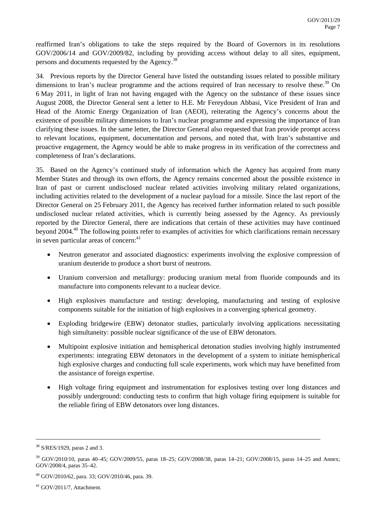reaffirmed Iran's obligations to take the steps required by the Board of Governors in its resolutions GOV/2006/14 and GOV/2009/82, including by providing access without delay to all sites, equipment, persons and documents requested by the Agency.38

34. Previous reports by the Director General have listed the outstanding issues related to possible military dimensions to Iran's nuclear programme and the actions required of Iran necessary to resolve these.<sup>39</sup> On 6 May 2011, in light of Iran not having engaged with the Agency on the substance of these issues since August 2008, the Director General sent a letter to H.E. Mr Fereydoun Abbasi, Vice President of Iran and Head of the Atomic Energy Organization of Iran (AEOI), reiterating the Agency's concerns about the existence of possible military dimensions to Iran's nuclear programme and expressing the importance of Iran clarifying these issues. In the same letter, the Director General also requested that Iran provide prompt access to relevant locations, equipment, documentation and persons, and noted that, with Iran's substantive and proactive engagement, the Agency would be able to make progress in its verification of the correctness and completeness of Iran's declarations.

35. Based on the Agency's continued study of information which the Agency has acquired from many Member States and through its own efforts, the Agency remains concerned about the possible existence in Iran of past or current undisclosed nuclear related activities involving military related organizations, including activities related to the development of a nuclear payload for a missile. Since the last report of the Director General on 25 February 2011, the Agency has received further information related to such possible undisclosed nuclear related activities, which is currently being assessed by the Agency. As previously reported by the Director General, there are indications that certain of these activities may have continued beyond 2004.40 The following points refer to examples of activities for which clarifications remain necessary in seven particular areas of concern: $41$ 

- Neutron generator and associated diagnostics: experiments involving the explosive compression of uranium deuteride to produce a short burst of neutrons.
- Uranium conversion and metallurgy: producing uranium metal from fluoride compounds and its manufacture into components relevant to a nuclear device.
- High explosives manufacture and testing: developing, manufacturing and testing of explosive components suitable for the initiation of high explosives in a converging spherical geometry.
- Exploding bridgewire (EBW) detonator studies, particularly involving applications necessitating high simultaneity: possible nuclear significance of the use of EBW detonators.
- Multipoint explosive initiation and hemispherical detonation studies involving highly instrumented experiments: integrating EBW detonators in the development of a system to initiate hemispherical high explosive charges and conducting full scale experiments, work which may have benefitted from the assistance of foreign expertise.
- High voltage firing equipment and instrumentation for explosives testing over long distances and possibly underground: conducting tests to confirm that high voltage firing equipment is suitable for the reliable firing of EBW detonators over long distances.

<sup>38</sup> S/RES/1929, paras 2 and 3.

<sup>&</sup>lt;sup>39</sup> GOV/2010/10, paras 40–45; GOV/2009/55, paras 18–25; GOV/2008/38, paras 14–21; GOV/2008/15, paras 14–25 and Annex; GOV/2008/4, paras 35–42.

<sup>40</sup> GOV/2010/62, para. 33; GOV/2010/46, para. 39.

 $41$  GOV/2011/7, Attachment.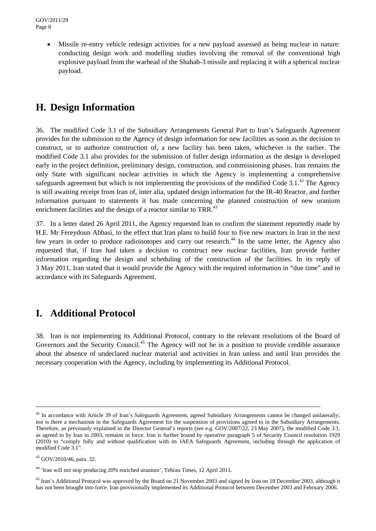• Missile re-entry vehicle redesign activities for a new payload assessed as being nuclear in nature: conducting design work and modelling studies involving the removal of the conventional high explosive payload from the warhead of the Shahab-3 missile and replacing it with a spherical nuclear payload.

## **H. Design Information**

36. The modified Code 3.1 of the Subsidiary Arrangements General Part to Iran's Safeguards Agreement provides for the submission to the Agency of design information for new facilities as soon as the decision to construct, or to authorize construction of, a new facility has been taken, whichever is the earlier. The modified Code 3.1 also provides for the submission of fuller design information as the design is developed early in the project definition, preliminary design, construction, and commissioning phases. Iran remains the only State with significant nuclear activities in which the Agency is implementing a comprehensive safeguards agreement but which is not implementing the provisions of the modified Code  $3.1<sup>42</sup>$ . The Agency is still awaiting receipt from Iran of, inter alia, updated design information for the IR-40 Reactor, and further information pursuant to statements it has made concerning the planned construction of new uranium enrichment facilities and the design of a reactor similar to TRR.<sup>43</sup>

37. In a letter dated 26 April 2011, the Agency requested Iran to confirm the statement reportedly made by H.E. Mr Fereydoun Abbasi, to the effect that Iran plans to build four to five new reactors in Iran in the next few years in order to produce radioisotopes and carry out research.<sup>44</sup> In the same letter, the Agency also requested that, if Iran had taken a decision to construct new nuclear facilities, Iran provide further information regarding the design and scheduling of the construction of the facilities. In its reply of 3 May 2011, Iran stated that it would provide the Agency with the required information in "due time" and in accordance with its Safeguards Agreement.

## **I. Additional Protocol**

38. Iran is not implementing its Additional Protocol, contrary to the relevant resolutions of the Board of Governors and the Security Council.<sup>45</sup> The Agency will not be in a position to provide credible assurance about the absence of undeclared nuclear material and activities in Iran unless and until Iran provides the necessary cooperation with the Agency, including by implementing its Additional Protocol.

 $42$  In accordance with Article 39 of Iran's Safeguards Agreement, agreed Subsidiary Arrangements cannot be changed unilaterally; nor is there a mechanism in the Safeguards Agreement for the suspension of provisions agreed to in the Subsidiary Arrangements. Therefore, as previously explained in the Director General's reports (see e.g. GOV/2007/22, 23 May 2007), the modified Code 3.1, as agreed to by Iran in 2003, remains in force. Iran is further bound by operative paragraph 5 of Security Council resolution 1929 (2010) to "comply fully and without qualification with its IAEA Safeguards Agreement, including through the application of modified Code 3.1".

<sup>43</sup> GOV/2010/46, para. 32.

<sup>44 &#</sup>x27;Iran will not stop producing 20% enriched uranium', Tehran Times, 12 April 2011.

<sup>&</sup>lt;sup>45</sup> Iran's Additional Protocol was approved by the Board on 21 November 2003 and signed by Iran on 18 December 2003, although it has not been brought into force. Iran provisionally implemented its Additional Protocol between December 2003 and February 2006.